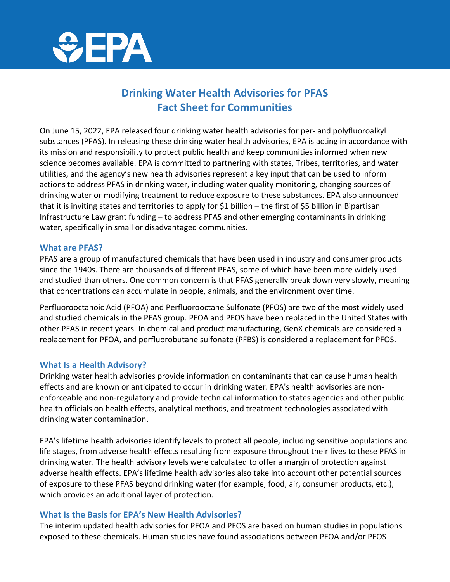

# **Drinking Water Health Advisories for PFAS Fact Sheet for Communities**

On June 15, 2022, EPA released four drinking water health advisories for per- and polyfluoroalkyl substances (PFAS). In releasing these drinking water health advisories, EPA is acting in accordance with its mission and responsibility to protect public health and keep communities informed when new science becomes available. EPA is committed to partnering with states, Tribes, territories, and water utilities, and the agency's new health advisories represent a key input that can be used to inform actions to address PFAS in drinking water, including water quality monitoring, changing sources of drinking water or modifying treatment to reduce exposure to these substances. EPA also announced that it is inviting states and territories to apply for \$1 billion – the first of \$5 billion in Bipartisan Infrastructure Law grant funding – to address PFAS and other emerging contaminants in drinking water, specifically in small or disadvantaged communities.

#### **What are PFAS?**

PFAS are a group of manufactured chemicals that have been used in industry and consumer products since the 1940s. There are thousands of different PFAS, some of which have been more widely used and studied than others. One common concern is that PFAS generally break down very slowly, meaning that concentrations can accumulate in people, animals, and the environment over time.

Perfluorooctanoic Acid (PFOA) and Perfluorooctane Sulfonate (PFOS) are two of the most widely used and studied chemicals in the PFAS group. PFOA and PFOS have been replaced in the United States with other PFAS in recent years. In chemical and product manufacturing, GenX chemicals are considered a replacement for PFOA, and perfluorobutane sulfonate (PFBS) is considered a replacement for PFOS.

#### **What Is a Health Advisory?**

Drinking water health advisories provide information on contaminants that can cause human health effects and are known or anticipated to occur in drinking water. EPA's health advisories are nonenforceable and non-regulatory and provide technical information to states agencies and other public health officials on health effects, analytical methods, and treatment technologies associated with drinking water contamination.

EPA's lifetime health advisories identify levels to protect all people, including sensitive populations and life stages, from adverse health effects resulting from exposure throughout their lives to these PFAS in drinking water. The health advisory levels were calculated to offer a margin of protection against adverse health effects. EPA's lifetime health advisories also take into account other potential sources of exposure to these PFAS beyond drinking water (for example, food, air, consumer products, etc.), which provides an additional layer of protection.

## **What Is the Basis for EPA's New Health Advisories?**

The interim updated health advisories for PFOA and PFOS are based on human studies in populations exposed to these chemicals. Human studies have found associations between PFOA and/or PFOS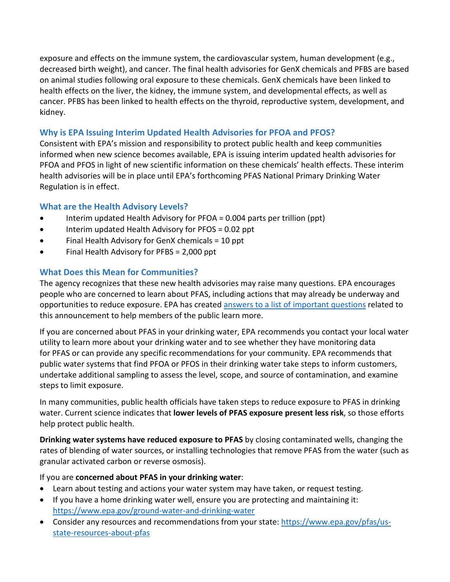exposure and effects on the immune system, the cardiovascular system, human development (e.g., decreased birth weight), and cancer. The final health advisories for GenX chemicals and PFBS are based on animal studies following oral exposure to these chemicals. GenX chemicals have been linked to health effects on the liver, the kidney, the immune system, and developmental effects, as well as cancer. PFBS has been linked to health effects on the thyroid, reproductive system, development, and kidney.

# **Why is EPA Issuing Interim Updated Health Advisories for PFOA and PFOS?**

Consistent with EPA's mission and responsibility to protect public health and keep communities informed when new science becomes available, EPA is issuing interim updated health advisories for PFOA and PFOS in light of new scientific information on these chemicals' health effects. These interim health advisories will be in place until EPA's forthcoming PFAS National Primary Drinking Water Regulation is in effect.

## **What are the Health Advisory Levels?**

- Interim updated Health Advisory for PFOA = 0.004 parts per trillion (ppt)
- Interim updated Health Advisory for PFOS = 0.02 ppt
- Final Health Advisory for GenX chemicals = 10 ppt
- Final Health Advisory for PFBS = 2,000 ppt

# **What Does this Mean for Communities?**

The agency recognizes that these new health advisories may raise many questions. EPA encourages people who are concerned to learn about PFAS, including actions that may already be underway and opportunities to reduce exposure. EPA has created [answers to a list of important questions](https://www.epa.gov/sdwa/questions-and-answers-drinking-water-health-advisories-pfoa-pfos-genx-chemicals-and-pfbs) related to this announcement to help members of the public learn more.

If you are concerned about PFAS in your drinking water, EPA recommends you contact your local water utility to learn more about your drinking water and to see whether they have monitoring data for PFAS or can provide any specific recommendations for your community. EPA recommends that public water systems that find PFOA or PFOS in their drinking water take steps to inform customers, undertake additional sampling to assess the level, scope, and source of contamination, and examine steps to limit exposure.

In many communities, public health officials have taken steps to reduce exposure to PFAS in drinking water. Current science indicates that **lower levels of PFAS exposure present less risk**, so those efforts help protect public health.

**Drinking water systems have reduced exposure to PFAS** by closing contaminated wells, changing the rates of blending of water sources, or installing technologies that remove PFAS from the water (such as granular activated carbon or reverse osmosis).

## If you are **concerned about PFAS in your drinking water**:

- Learn about testing and actions your water system may have taken, or request testing.
- If you have a home drinking water well, ensure you are protecting and maintaining it: <https://www.epa.gov/ground-water-and-drinking-water>
- Consider any resources and recommendations from your state[: https://www.epa.gov/pfas/us](https://www.epa.gov/pfas/us-state-resources-about-pfas)[state-resources-about-pfas](https://www.epa.gov/pfas/us-state-resources-about-pfas)